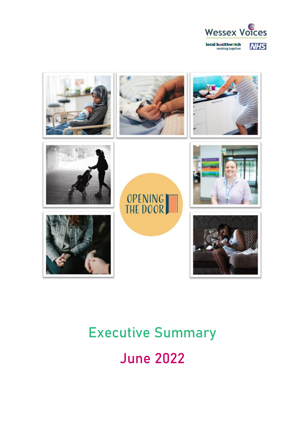



# Executive Summary June 2022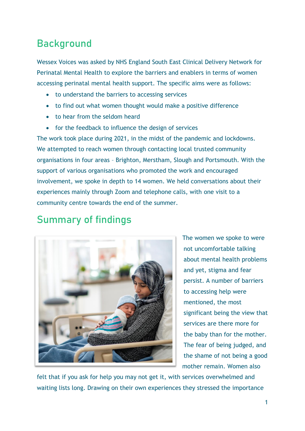# Background

Wessex Voices was asked by NHS England South East Clinical Delivery Network for Perinatal Mental Health to explore the barriers and enablers in terms of women accessing perinatal mental health support. The specific aims were as follows:

- to understand the barriers to accessing services
- to find out what women thought would make a positive difference
- to hear from the seldom heard
- for the feedback to influence the design of services

The work took place during 2021, in the midst of the pandemic and lockdowns. We attempted to reach women through contacting local trusted community organisations in four areas – Brighton, Merstham, Slough and Portsmouth. With the support of various organisations who promoted the work and encouraged involvement, we spoke in depth to 14 women. We held conversations about their experiences mainly through Zoom and telephone calls, with one visit to a community centre towards the end of the summer.

## Summary of findings



The women we spoke to were not uncomfortable talking about mental health problems and yet, stigma and fear persist. A number of barriers to accessing help were mentioned, the most significant being the view that services are there more for the baby than for the mother. The fear of being judged, and the shame of not being a good mother remain. Women also

felt that if you ask for help you may not get it, with services overwhelmed and waiting lists long. Drawing on their own experiences they stressed the importance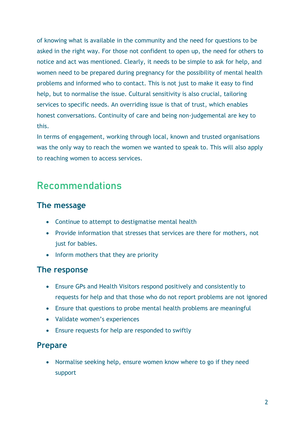of knowing what is available in the community and the need for questions to be asked in the right way. For those not confident to open up, the need for others to notice and act was mentioned. Clearly, it needs to be simple to ask for help, and women need to be prepared during pregnancy for the possibility of mental health problems and informed who to contact. This is not just to make it easy to find help, but to normalise the issue. Cultural sensitivity is also crucial, tailoring services to specific needs. An overriding issue is that of trust, which enables honest conversations. Continuity of care and being non-judgemental are key to this.

In terms of engagement, working through local, known and trusted organisations was the only way to reach the women we wanted to speak to. This will also apply to reaching women to access services.

## Recommendations

#### **The message**

- Continue to attempt to destigmatise mental health
- Provide information that stresses that services are there for mothers, not just for babies.
- Inform mothers that they are priority

#### **The response**

- Ensure GPs and Health Visitors respond positively and consistently to requests for help and that those who do not report problems are not ignored
- Ensure that questions to probe mental health problems are meaningful
- Validate women's experiences
- Ensure requests for help are responded to swiftly

#### **Prepare**

• Normalise seeking help, ensure women know where to go if they need support